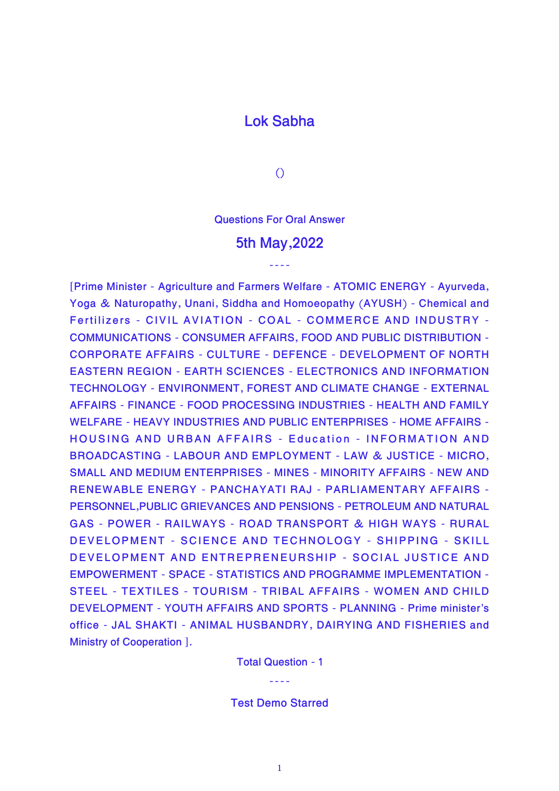## **Lok Sabha**

**()**

**Questions For Oral Answer**

## **5th May,2022**

----

**[Prime Minister - Agriculture and Farmers Welfare - ATOMIC ENERGY - Ayurveda, Yoga & Naturopathy, Unani, Siddha and Homoeopathy (AYUSH) - Chemical and Fertilizers - CIVIL AVIATION - COAL - COMMERCE AND INDUSTRY - COMMUNICATIONS - CONSUMER AFFAIRS, FOOD AND PUBLIC DISTRIBUTION - CORPORATE AFFAIRS - CULTURE - DEFENCE - DEVELOPMENT OF NORTH EASTERN REGION - EARTH SCIENCES - ELECTRONICS AND INFORMATION TECHNOLOGY - ENVIRONMENT, FOREST AND CLIMATE CHANGE - EXTERNAL AFFAIRS - FINANCE - FOOD PROCESSING INDUSTRIES - HEALTH AND FAMILY WELFARE - HEAVY INDUSTRIES AND PUBLIC ENTERPRISES - HOME AFFAIRS - HOUSING AND URBAN AFFAIRS - Education - INFORMATION AND BROADCASTING - LABOUR AND EMPLOYMENT - LAW & JUSTICE - MICRO, SMALL AND MEDIUM ENTERPRISES - MINES - MINORITY AFFAIRS - NEW AND RENEWABLE ENERGY - PANCHAYATI RAJ - PARLIAMENTARY AFFAIRS - PERSONNEL,PUBLIC GRIEVANCES AND PENSIONS - PETROLEUM AND NATURAL GAS - POWER - RAILWAYS - ROAD TRANSPORT & HIGH WAYS - RURAL DEVELOPMENT - SCIENCE AND TECHNOLOGY - SHIPPING - SKILL DEVELOPMENT AND ENTREPRENEURSHIP - SOCIAL JUSTICE AND EMPOWERMENT - SPACE - STATISTICS AND PROGRAMME IMPLEMENTATION - STEEL - TEXTILES - TOURISM - TRIBAL AFFAIRS - WOMEN AND CHILD DEVELOPMENT - YOUTH AFFAIRS AND SPORTS - PLANNING - Prime minister's office - JAL SHAKTI - ANIMAL HUSBANDRY, DAIRYING AND FISHERIES and Ministry of Cooperation ].**

**Total Question - 1**

----

**Test Demo Starred**